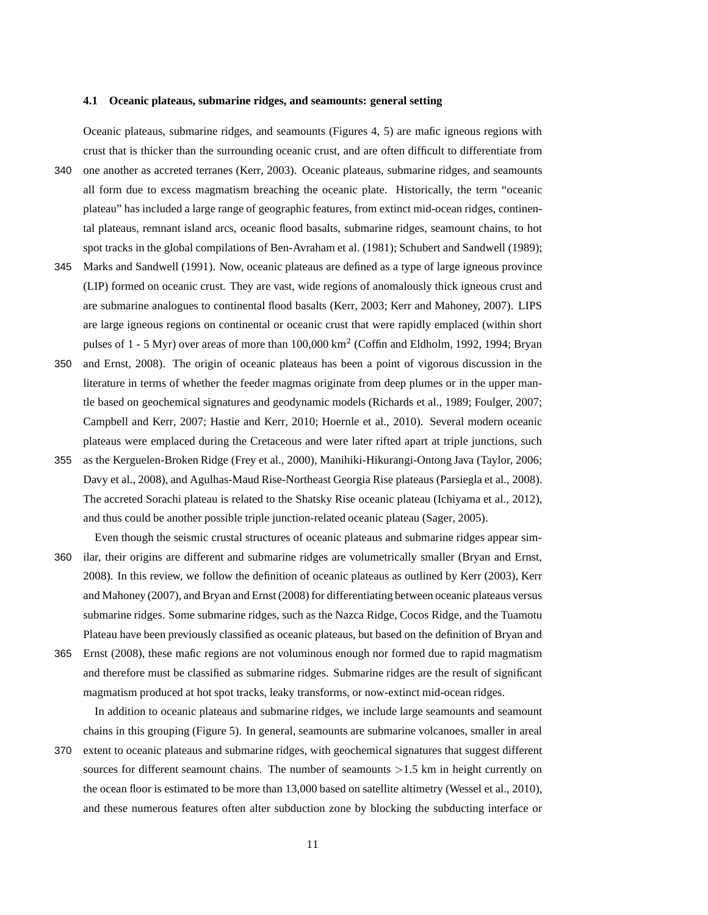## **4.1 Oceanic plateaus, submarine ridges, and seamounts: general setting**

Oceanic plateaus, submarine ridges, and seamounts (Figures 4, 5) are mafic igneous regions with crust that is thicker than the surrounding oceanic crust, and are often difficult to differentiate from

- 340 one another as accreted terranes (Kerr, 2003). Oceanic plateaus, submarine ridges, and seamounts all form due to excess magmatism breaching the oceanic plate. Historically, the term "oceanic plateau" has included a large range of geographic features, from extinct mid-ocean ridges, continental plateaus, remnant island arcs, oceanic flood basalts, submarine ridges, seamount chains, to hot spot tracks in the global compilations of Ben-Avraham et al. (1981); Schubert and Sandwell (1989);
- 345 Marks and Sandwell (1991). Now, oceanic plateaus are defined as a type of large igneous province (LIP) formed on oceanic crust. They are vast, wide regions of anomalously thick igneous crust and are submarine analogues to continental flood basalts (Kerr, 2003; Kerr and Mahoney, 2007). LIPS are large igneous regions on continental or oceanic crust that were rapidly emplaced (within short pulses of 1 - 5 Myr) over areas of more than 100,000 km<sup>2</sup> (Coffin and Eldholm, 1992, 1994; Bryan
- 350 and Ernst, 2008). The origin of oceanic plateaus has been a point of vigorous discussion in the literature in terms of whether the feeder magmas originate from deep plumes or in the upper mantle based on geochemical signatures and geodynamic models (Richards et al., 1989; Foulger, 2007; Campbell and Kerr, 2007; Hastie and Kerr, 2010; Hoernle et al., 2010). Several modern oceanic plateaus were emplaced during the Cretaceous and were later rifted apart at triple junctions, such
- 355 as the Kerguelen-Broken Ridge (Frey et al., 2000), Manihiki-Hikurangi-Ontong Java (Taylor, 2006; Davy et al., 2008), and Agulhas-Maud Rise-Northeast Georgia Rise plateaus (Parsiegla et al., 2008). The accreted Sorachi plateau is related to the Shatsky Rise oceanic plateau (Ichiyama et al., 2012), and thus could be another possible triple junction-related oceanic plateau (Sager, 2005).
- Even though the seismic crustal structures of oceanic plateaus and submarine ridges appear sim-360 ilar, their origins are different and submarine ridges are volumetrically smaller (Bryan and Ernst, 2008). In this review, we follow the definition of oceanic plateaus as outlined by Kerr (2003), Kerr and Mahoney (2007), and Bryan and Ernst (2008) for differentiating between oceanic plateaus versus submarine ridges. Some submarine ridges, such as the Nazca Ridge, Cocos Ridge, and the Tuamotu Plateau have been previously classified as oceanic plateaus, but based on the definition of Bryan and
- 365 Ernst (2008), these mafic regions are not voluminous enough nor formed due to rapid magmatism and therefore must be classified as submarine ridges. Submarine ridges are the result of significant magmatism produced at hot spot tracks, leaky transforms, or now-extinct mid-ocean ridges.

In addition to oceanic plateaus and submarine ridges, we include large seamounts and seamount chains in this grouping (Figure 5). In general, seamounts are submarine volcanoes, smaller in areal

370 extent to oceanic plateaus and submarine ridges, with geochemical signatures that suggest different sources for different seamount chains. The number of seamounts  $>1.5$  km in height currently on the ocean floor is estimated to be more than 13,000 based on satellite altimetry (Wessel et al., 2010), and these numerous features often alter subduction zone by blocking the subducting interface or